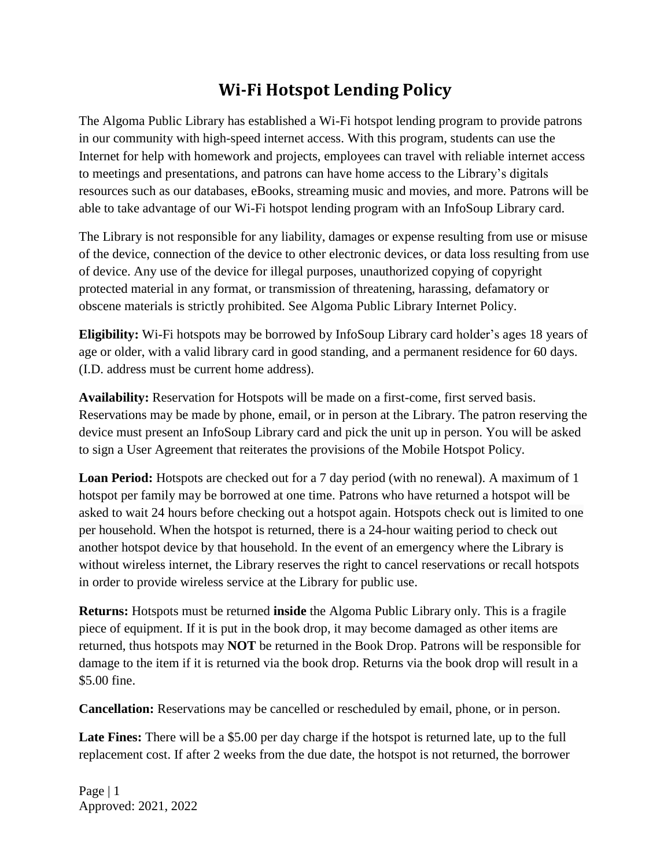## **Wi-Fi Hotspot Lending Policy**

The Algoma Public Library has established a Wi-Fi hotspot lending program to provide patrons in our community with high-speed internet access. With this program, students can use the Internet for help with homework and projects, employees can travel with reliable internet access to meetings and presentations, and patrons can have home access to the Library's digitals resources such as our databases, eBooks, streaming music and movies, and more. Patrons will be able to take advantage of our Wi-Fi hotspot lending program with an InfoSoup Library card.

The Library is not responsible for any liability, damages or expense resulting from use or misuse of the device, connection of the device to other electronic devices, or data loss resulting from use of device. Any use of the device for illegal purposes, unauthorized copying of copyright protected material in any format, or transmission of threatening, harassing, defamatory or obscene materials is strictly prohibited. See Algoma Public Library Internet Policy.

**Eligibility:** Wi-Fi hotspots may be borrowed by InfoSoup Library card holder's ages 18 years of age or older, with a valid library card in good standing, and a permanent residence for 60 days. (I.D. address must be current home address).

**Availability:** Reservation for Hotspots will be made on a first-come, first served basis. Reservations may be made by phone, email, or in person at the Library. The patron reserving the device must present an InfoSoup Library card and pick the unit up in person. You will be asked to sign a User Agreement that reiterates the provisions of the Mobile Hotspot Policy.

**Loan Period:** Hotspots are checked out for a 7 day period (with no renewal). A maximum of 1 hotspot per family may be borrowed at one time. Patrons who have returned a hotspot will be asked to wait 24 hours before checking out a hotspot again. Hotspots check out is limited to one per household. When the hotspot is returned, there is a 24-hour waiting period to check out another hotspot device by that household. In the event of an emergency where the Library is without wireless internet, the Library reserves the right to cancel reservations or recall hotspots in order to provide wireless service at the Library for public use.

**Returns:** Hotspots must be returned **inside** the Algoma Public Library only. This is a fragile piece of equipment. If it is put in the book drop, it may become damaged as other items are returned, thus hotspots may **NOT** be returned in the Book Drop. Patrons will be responsible for damage to the item if it is returned via the book drop. Returns via the book drop will result in a \$5.00 fine.

**Cancellation:** Reservations may be cancelled or rescheduled by email, phone, or in person.

Late Fines: There will be a \$5.00 per day charge if the hotspot is returned late, up to the full replacement cost. If after 2 weeks from the due date, the hotspot is not returned, the borrower

Page | 1 Approved: 2021, 2022